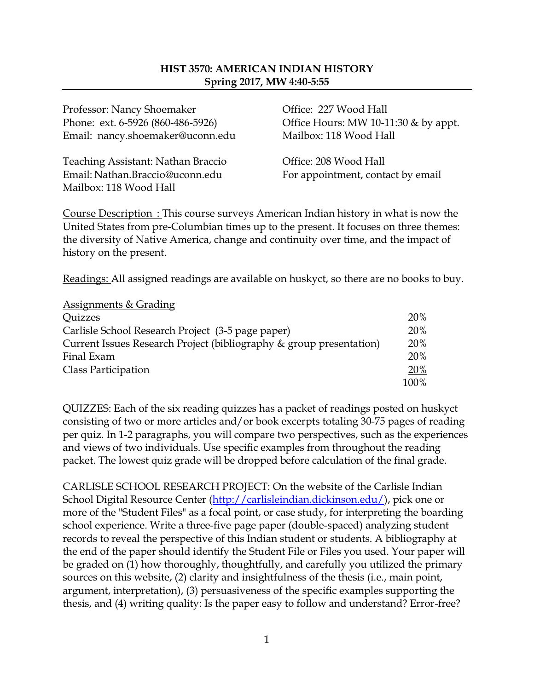#### **HIST 3570: AMERICAN INDIAN HISTORY Spring 2017, MW 4:40-5:55**

Professor: Nancy Shoemaker **Office: 227 Wood Hall** Email: nancy.shoemaker@uconn.edu Mailbox: 118 Wood Hall

Teaching Assistant: Nathan Braccio Office: 208 Wood Hall Email: Nathan.Braccio@uconn.edu For appointment, contact by email Mailbox: 118 Wood Hall

Phone: ext. 6-5926 (860-486-5926) Office Hours: MW 10-11:30 & by appt.

Course Description : This course surveys American Indian history in what is now the United States from pre-Columbian times up to the present. It focuses on three themes: the diversity of Native America, change and continuity over time, and the impact of history on the present.

Readings: All assigned readings are available on huskyct, so there are no books to buy.

| <b>Assignments &amp; Grading</b>                                    |      |
|---------------------------------------------------------------------|------|
| <i><b>Quizzes</b></i>                                               | 20%  |
| Carlisle School Research Project (3-5 page paper)                   | 20%  |
| Current Issues Research Project (bibliography & group presentation) | 20%  |
| Final Exam                                                          | 20%  |
| Class Participation                                                 | 20%  |
|                                                                     | 100% |

QUIZZES: Each of the six reading quizzes has a packet of readings posted on huskyct consisting of two or more articles and/or book excerpts totaling 30-75 pages of reading per quiz. In 1-2 paragraphs, you will compare two perspectives, such as the experiences and views of two individuals. Use specific examples from throughout the reading packet. The lowest quiz grade will be dropped before calculation of the final grade.

CARLISLE SCHOOL RESEARCH PROJECT: On the website of the Carlisle Indian School Digital Resource Center [\(http://carlisleindian.dickinson.edu/\)](http://carlisleindian.dickinson.edu/), pick one or more of the "Student Files" as a focal point, or case study, for interpreting the boarding school experience. Write a three-five page paper (double-spaced) analyzing student records to reveal the perspective of this Indian student or students. A bibliography at the end of the paper should identify the Student File or Files you used. Your paper will be graded on (1) how thoroughly, thoughtfully, and carefully you utilized the primary sources on this website, (2) clarity and insightfulness of the thesis (i.e., main point, argument, interpretation), (3) persuasiveness of the specific examples supporting the thesis, and (4) writing quality: Is the paper easy to follow and understand? Error-free?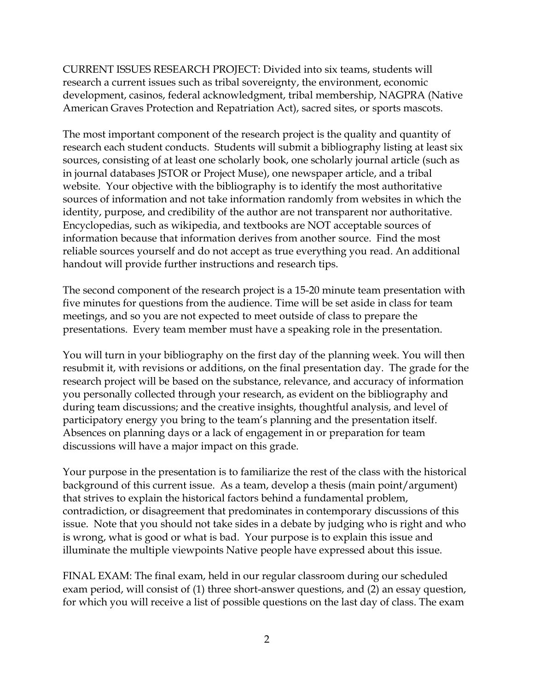CURRENT ISSUES RESEARCH PROJECT: Divided into six teams, students will research a current issues such as tribal sovereignty, the environment, economic development, casinos, federal acknowledgment, tribal membership, NAGPRA (Native American Graves Protection and Repatriation Act), sacred sites, or sports mascots.

The most important component of the research project is the quality and quantity of research each student conducts. Students will submit a bibliography listing at least six sources, consisting of at least one scholarly book, one scholarly journal article (such as in journal databases JSTOR or Project Muse), one newspaper article, and a tribal website. Your objective with the bibliography is to identify the most authoritative sources of information and not take information randomly from websites in which the identity, purpose, and credibility of the author are not transparent nor authoritative. Encyclopedias, such as wikipedia, and textbooks are NOT acceptable sources of information because that information derives from another source. Find the most reliable sources yourself and do not accept as true everything you read. An additional handout will provide further instructions and research tips.

The second component of the research project is a 15-20 minute team presentation with five minutes for questions from the audience. Time will be set aside in class for team meetings, and so you are not expected to meet outside of class to prepare the presentations. Every team member must have a speaking role in the presentation.

You will turn in your bibliography on the first day of the planning week. You will then resubmit it, with revisions or additions, on the final presentation day. The grade for the research project will be based on the substance, relevance, and accuracy of information you personally collected through your research, as evident on the bibliography and during team discussions; and the creative insights, thoughtful analysis, and level of participatory energy you bring to the team's planning and the presentation itself. Absences on planning days or a lack of engagement in or preparation for team discussions will have a major impact on this grade.

Your purpose in the presentation is to familiarize the rest of the class with the historical background of this current issue. As a team, develop a thesis (main point/argument) that strives to explain the historical factors behind a fundamental problem, contradiction, or disagreement that predominates in contemporary discussions of this issue. Note that you should not take sides in a debate by judging who is right and who is wrong, what is good or what is bad. Your purpose is to explain this issue and illuminate the multiple viewpoints Native people have expressed about this issue.

FINAL EXAM: The final exam, held in our regular classroom during our scheduled exam period, will consist of (1) three short-answer questions, and (2) an essay question, for which you will receive a list of possible questions on the last day of class. The exam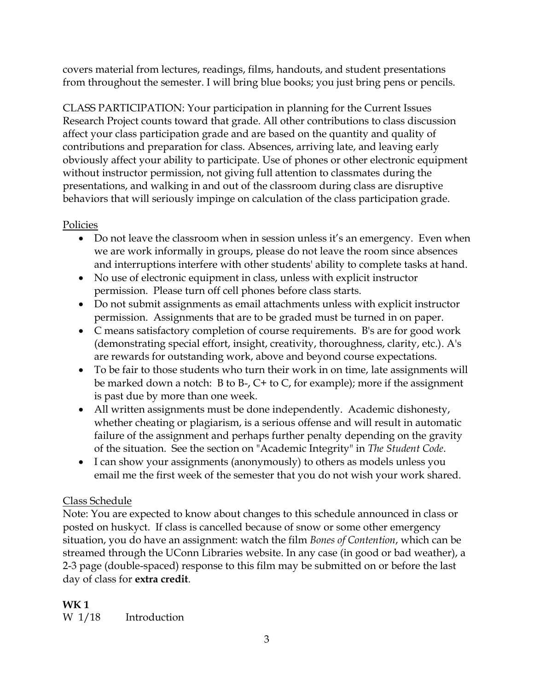covers material from lectures, readings, films, handouts, and student presentations from throughout the semester. I will bring blue books; you just bring pens or pencils.

CLASS PARTICIPATION: Your participation in planning for the Current Issues Research Project counts toward that grade. All other contributions to class discussion affect your class participation grade and are based on the quantity and quality of contributions and preparation for class. Absences, arriving late, and leaving early obviously affect your ability to participate. Use of phones or other electronic equipment without instructor permission, not giving full attention to classmates during the presentations, and walking in and out of the classroom during class are disruptive behaviors that will seriously impinge on calculation of the class participation grade.

# **Policies**

- Do not leave the classroom when in session unless it's an emergency. Even when we are work informally in groups, please do not leave the room since absences and interruptions interfere with other students' ability to complete tasks at hand.
- No use of electronic equipment in class, unless with explicit instructor permission. Please turn off cell phones before class starts.
- Do not submit assignments as email attachments unless with explicit instructor permission. Assignments that are to be graded must be turned in on paper.
- C means satisfactory completion of course requirements. B's are for good work (demonstrating special effort, insight, creativity, thoroughness, clarity, etc.). A's are rewards for outstanding work, above and beyond course expectations.
- To be fair to those students who turn their work in on time, late assignments will be marked down a notch: B to B-, C+ to C, for example); more if the assignment is past due by more than one week.
- All written assignments must be done independently. Academic dishonesty, whether cheating or plagiarism, is a serious offense and will result in automatic failure of the assignment and perhaps further penalty depending on the gravity of the situation. See the section on "Academic Integrity" in *The Student Code*.
- I can show your assignments (anonymously) to others as models unless you email me the first week of the semester that you do not wish your work shared.

# Class Schedule

Note: You are expected to know about changes to this schedule announced in class or posted on huskyct. If class is cancelled because of snow or some other emergency situation, you do have an assignment: watch the film *Bones of Contention*, which can be streamed through the UConn Libraries website. In any case (in good or bad weather), a 2-3 page (double-spaced) response to this film may be submitted on or before the last day of class for **extra credit**.

# **WK 1**

W 1/18 Introduction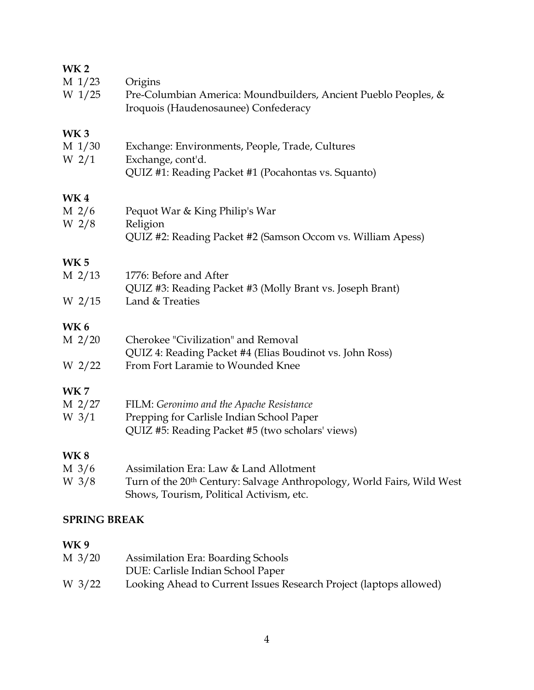### **WK 2**

| $M_1/23$<br>$W_1/25$                           | Origins<br>Pre-Columbian America: Moundbuilders, Ancient Pueblo Peoples, &<br>Iroquois (Haudenosaunee) Confederacy             |
|------------------------------------------------|--------------------------------------------------------------------------------------------------------------------------------|
| WK3<br>$M_1/30$<br>W <sub>2/1</sub>            | Exchange: Environments, People, Trade, Cultures<br>Exchange, cont'd.<br>QUIZ #1: Reading Packet #1 (Pocahontas vs. Squanto)    |
| WK <sub>4</sub><br>$M$ 2/6<br>W <sub>2/8</sub> | Pequot War & King Philip's War<br>Religion                                                                                     |
|                                                | QUIZ #2: Reading Packet #2 (Samson Occom vs. William Apess)                                                                    |
| WK <sub>5</sub>                                |                                                                                                                                |
| $M$ 2/13                                       | 1776: Before and After<br>QUIZ #3: Reading Packet #3 (Molly Brant vs. Joseph Brant)                                            |
| W 2/15                                         | Land & Treaties                                                                                                                |
| WK 6                                           |                                                                                                                                |
| $M$ 2/20                                       | Cherokee "Civilization" and Removal<br>QUIZ 4: Reading Packet #4 (Elias Boudinot vs. John Ross)                                |
| W 2/22                                         | From Fort Laramie to Wounded Knee                                                                                              |
| <b>WK7</b>                                     |                                                                                                                                |
| M 2/27                                         | FILM: Geronimo and the Apache Resistance                                                                                       |
| W $3/1$                                        | Prepping for Carlisle Indian School Paper<br>QUIZ #5: Reading Packet #5 (two scholars' views)                                  |
| <b>WK8</b>                                     |                                                                                                                                |
| $M\frac{3}{6}$                                 | Assimilation Era: Law & Land Allotment                                                                                         |
| W $3/8$                                        | Turn of the 20 <sup>th</sup> Century: Salvage Anthropology, World Fairs, Wild West<br>Shows, Tourism, Political Activism, etc. |
|                                                |                                                                                                                                |

# **SPRING BREAK**

# **WK 9**

| M 3/20 | <b>Assimilation Era: Boarding Schools</b>                          |
|--------|--------------------------------------------------------------------|
|        | DUE: Carlisle Indian School Paper                                  |
| W 3/22 | Looking Ahead to Current Issues Research Project (laptops allowed) |